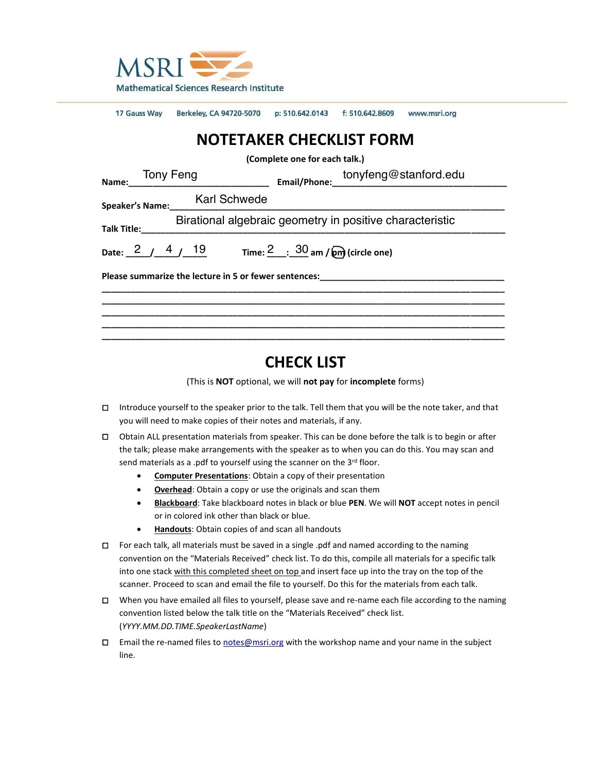

|                                                                                                             | 17 Gauss Way Berkeley, CA 94720-5070 p: 510.642.0143 f: 510.642.8609 www.msri.org |  |  |  |
|-------------------------------------------------------------------------------------------------------------|-----------------------------------------------------------------------------------|--|--|--|
| <b>NOTETAKER CHECKLIST FORM</b>                                                                             |                                                                                   |  |  |  |
| (Complete one for each talk.)                                                                               |                                                                                   |  |  |  |
|                                                                                                             |                                                                                   |  |  |  |
|                                                                                                             | Speaker's Name:___ Karl Schwede                                                   |  |  |  |
| Birational algebraic geometry in positive characteristic                                                    |                                                                                   |  |  |  |
| Date: $\frac{2}{1}$ $\frac{4}{19}$ 19 Time: $\frac{2}{1}$ $\frac{30}{10}$ am / $\frac{6}{100}$ (circle one) |                                                                                   |  |  |  |
|                                                                                                             |                                                                                   |  |  |  |
|                                                                                                             |                                                                                   |  |  |  |
|                                                                                                             |                                                                                   |  |  |  |
|                                                                                                             |                                                                                   |  |  |  |

# **CHECK LIST**

(This is **NOT** optional, we will **not pay** for **incomplete** forms)

- □ Introduce yourself to the speaker prior to the talk. Tell them that you will be the note taker, and that you will need to make copies of their notes and materials, if any.
- □ Obtain ALL presentation materials from speaker. This can be done before the talk is to begin or after the talk; please make arrangements with the speaker as to when you can do this. You may scan and send materials as a .pdf to yourself using the scanner on the 3rd floor.
	- **Computer Presentations**: Obtain a copy of their presentation
	- **Overhead**: Obtain a copy or use the originals and scan them
	- **Blackboard**: Take blackboard notes in black or blue **PEN**. We will **NOT** accept notes in pencil or in colored ink other than black or blue.
	- **Handouts**: Obtain copies of and scan all handouts
- □ For each talk, all materials must be saved in a single .pdf and named according to the naming convention on the "Materials Received" check list. To do this, compile all materials for a specific talk into one stack with this completed sheet on top and insert face up into the tray on the top of the scanner. Proceed to scan and email the file to yourself. Do this for the materials from each talk.
- □ When you have emailed all files to yourself, please save and re-name each file according to the naming convention listed below the talk title on the "Materials Received" check list. (*YYYY.MM.DD.TIME.SpeakerLastName*)
- □ Email the re-named files to [notes@msri.org](mailto:notes@msri.org) with the workshop name and your name in the subject line.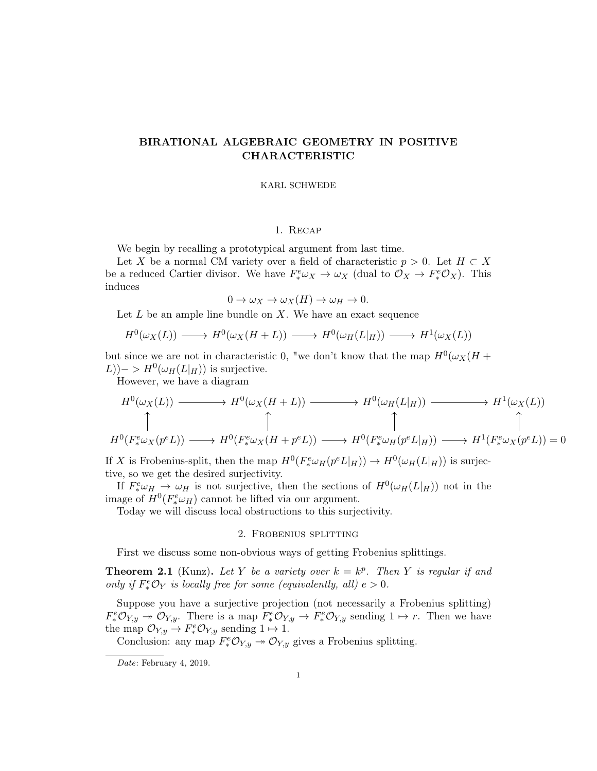## BIRATIONAL ALGEBRAIC GEOMETRY IN POSITIVE CHARACTERISTIC

#### KARL SCHWEDE

## 1. Recap

We begin by recalling a prototypical argument from last time.

Let X be a normal CM variety over a field of characteristic  $p > 0$ . Let  $H \subset X$ be a reduced Cartier divisor. We have  $F^e_* \omega_X \to \omega_X$  (dual to  $\mathcal{O}_X \to F^e_* \mathcal{O}_X$ ). This induces

$$
0 \to \omega_X \to \omega_X(H) \to \omega_H \to 0.
$$

Let  $L$  be an ample line bundle on  $X$ . We have an exact sequence

$$
H^{0}(\omega_{X}(L)) \longrightarrow H^{0}(\omega_{X}(H+L)) \longrightarrow H^{0}(\omega_{H}(L|_{H})) \longrightarrow H^{1}(\omega_{X}(L))
$$

but since we are not in characteristic 0, "we don't know that the map  $H^0(\omega_X(H +$  $(L)$ ) – >  $H^0(\omega_H(L|_H))$  is surjective.

However, we have a diagram

$$
H^{0}(\omega_{X}(L)) \longrightarrow H^{0}(\omega_{X}(H+L)) \longrightarrow H^{0}(\omega_{H}(L|_{H})) \longrightarrow H^{1}(\omega_{X}(L))
$$
  
\n
$$
\uparrow \qquad \qquad \uparrow \qquad \qquad \uparrow \qquad \qquad \uparrow
$$
  
\n
$$
H^{0}(F^{e}_{*}\omega_{X}(p^{e}L)) \longrightarrow H^{0}(F^{e}_{*}\omega_{X}(H+p^{e}L)) \longrightarrow H^{0}(F^{e}_{*}\omega_{H}(p^{e}L|_{H})) \longrightarrow H^{1}(F^{e}_{*}\omega_{X}(p^{e}L)) = 0
$$

If X is Frobenius-split, then the map  $H^0(F^e_*\omega_H(p^eL|_H)) \to H^0(\omega_H(L|_H))$  is surjective, so we get the desired surjectivity.

If  $F^e_* \omega_H \to \omega_H$  is not surjective, then the sections of  $H^0(\omega_H(L|_H))$  not in the image of  $H^0(F^e_*\omega_H)$  cannot be lifted via our argument.

Today we will discuss local obstructions to this surjectivity.

#### 2. Frobenius splitting

First we discuss some non-obvious ways of getting Frobenius splittings.

**Theorem 2.1** (Kunz). Let Y be a variety over  $k = k^p$ . Then Y is regular if and only if  $F^e_* \mathcal{O}_Y$  is locally free for some (equivalently, all)  $e > 0$ .

Suppose you have a surjective projection (not necessarily a Frobenius splitting)  $F^e_*\mathcal{O}_{Y,y} \twoheadrightarrow \mathcal{O}_{Y,y}$ . There is a map  $F^e_*\mathcal{O}_{Y,y} \twoheadrightarrow F^e_*\mathcal{O}_{Y,y}$  sending  $1 \mapsto r$ . Then we have the map  $\mathcal{O}_{Y,y} \to F^e_* \mathcal{O}_{Y,y}$  sending  $1 \mapsto 1$ .

Conclusion: any map  $F^e_* \mathcal{O}_{Y,y} \to \mathcal{O}_{Y,y}$  gives a Frobenius splitting.

Date: February 4, 2019.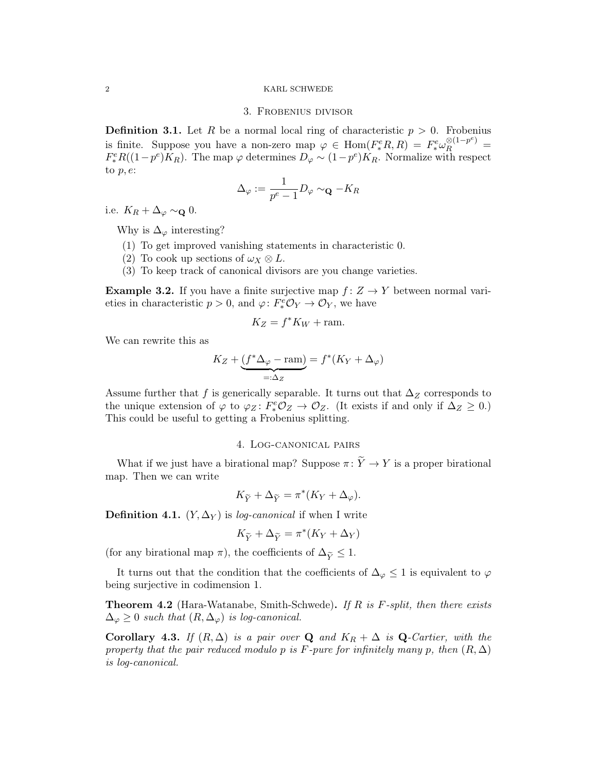### 2 KARL SCHWEDE

## 3. Frobenius divisor

**Definition 3.1.** Let R be a normal local ring of characteristic  $p > 0$ . Frobenius is finite. Suppose you have a non-zero map  $\varphi \in \text{Hom}(F_*^eR, R) = F_*^e \omega_R^{\otimes (1-p^e)} =$  $F_*^e R((1-p^e)K_R)$ . The map  $\varphi$  determines  $D_\varphi \sim (1-p^e)K_R$ . Normalize with respect to  $p, e$ :

$$
\Delta_{\varphi}:=\frac{1}{p^e-1}D_{\varphi}\sim_{\mathbf{Q}}-K_R
$$

i.e.  $K_R + \Delta_{\varphi} \sim_{\mathbf{Q}} 0$ .

Why is  $\Delta_{\varphi}$  interesting?

- (1) To get improved vanishing statements in characteristic 0.
- (2) To cook up sections of  $\omega_X \otimes L$ .
- (3) To keep track of canonical divisors are you change varieties.

**Example 3.2.** If you have a finite surjective map  $f: Z \rightarrow Y$  between normal varieties in characteristic  $p > 0$ , and  $\varphi \colon F^e_* \mathcal{O}_Y \to \mathcal{O}_Y$ , we have

$$
K_Z = f^* K_W + \text{ram}.
$$

We can rewrite this as

$$
K_Z + \underbrace{(f^* \Delta_{\varphi} - \text{ram})}_{=: \Delta_Z} = f^*(K_Y + \Delta_{\varphi})
$$

Assume further that f is generically separable. It turns out that  $\Delta_Z$  corresponds to the unique extension of  $\varphi$  to  $\varphi_Z \colon F^e_* \mathcal{O}_Z \to \mathcal{O}_Z$ . (It exists if and only if  $\Delta_Z \geq 0$ .) This could be useful to getting a Frobenius splitting.

## 4. Log-canonical pairs

What if we just have a birational map? Suppose  $\pi: \widetilde{Y} \to Y$  is a proper birational map. Then we can write

$$
K_{\widetilde{Y}} + \Delta_{\widetilde{Y}} = \pi^*(K_Y + \Delta_{\varphi}).
$$

**Definition 4.1.**  $(Y, \Delta_Y)$  is *log-canonical* if when I write

$$
K_{\widetilde{Y}}+\Delta_{\widetilde{Y}}=\pi^*(K_Y+\Delta_Y)
$$

(for any birational map  $\pi$ ), the coefficients of  $\Delta_{\widetilde{Y}} \leq 1$ .

It turns out that the condition that the coefficients of  $\Delta_{\varphi} \leq 1$  is equivalent to  $\varphi$ being surjective in codimension 1.

**Theorem 4.2** (Hara-Watanabe, Smith-Schwede). If R is F-split, then there exists  $\Delta_{\varphi} \geq 0$  such that  $(R, \Delta_{\varphi})$  is log-canonical.

Corollary 4.3. If  $(R, \Delta)$  is a pair over Q and  $K_R + \Delta$  is Q-Cartier, with the property that the pair reduced modulo p is F-pure for infinitely many p, then  $(R, \Delta)$ is log-canonical.